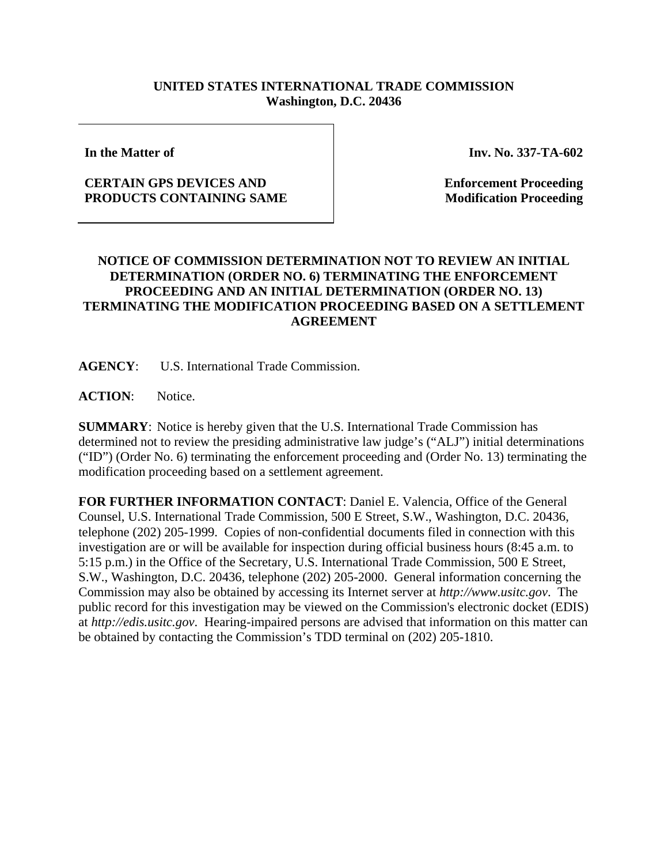## **UNITED STATES INTERNATIONAL TRADE COMMISSION Washington, D.C. 20436**

**In the Matter of** 

## **CERTAIN GPS DEVICES AND PRODUCTS CONTAINING SAME**

**Inv. No. 337-TA-602**

**Enforcement Proceeding Modification Proceeding**

## **NOTICE OF COMMISSION DETERMINATION NOT TO REVIEW AN INITIAL DETERMINATION (ORDER NO. 6) TERMINATING THE ENFORCEMENT PROCEEDING AND AN INITIAL DETERMINATION (ORDER NO. 13) TERMINATING THE MODIFICATION PROCEEDING BASED ON A SETTLEMENT AGREEMENT**

**AGENCY**: U.S. International Trade Commission.

**ACTION**: Notice.

**SUMMARY**: Notice is hereby given that the U.S. International Trade Commission has determined not to review the presiding administrative law judge's ("ALJ") initial determinations ("ID") (Order No. 6) terminating the enforcement proceeding and (Order No. 13) terminating the modification proceeding based on a settlement agreement.

**FOR FURTHER INFORMATION CONTACT**: Daniel E. Valencia, Office of the General Counsel, U.S. International Trade Commission, 500 E Street, S.W., Washington, D.C. 20436, telephone (202) 205-1999. Copies of non-confidential documents filed in connection with this investigation are or will be available for inspection during official business hours (8:45 a.m. to 5:15 p.m.) in the Office of the Secretary, U.S. International Trade Commission, 500 E Street, S.W., Washington, D.C. 20436, telephone (202) 205-2000. General information concerning the Commission may also be obtained by accessing its Internet server at *http://www.usitc.gov*. The public record for this investigation may be viewed on the Commission's electronic docket (EDIS) at *http://edis.usitc.gov*. Hearing-impaired persons are advised that information on this matter can be obtained by contacting the Commission's TDD terminal on (202) 205-1810.